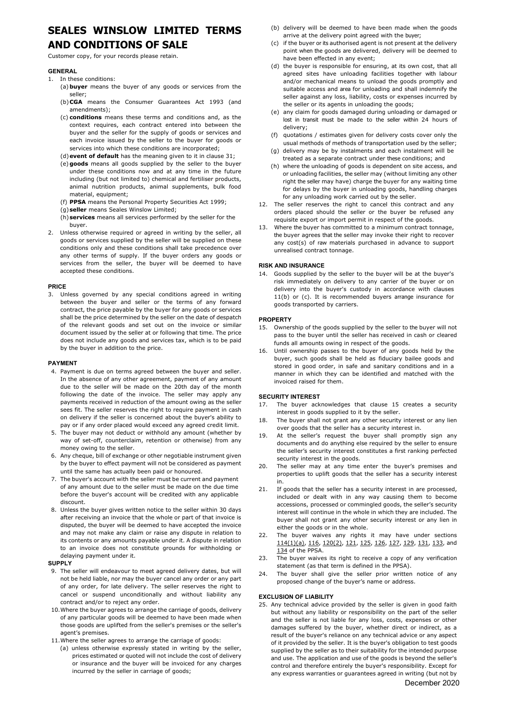# **SEALES WINSLOW LIMITED TERMS**

# **AND CONDITIONS OF SALE**

Customer copy, for your records please retain.

# **GENERAL**

- 1. In these conditions:
	- (a)**buyer** means the buyer of any goods or services from the seller;
	- (b)**CGA** means the Consumer Guarantees Act 1993 (and amendments);
	- (c) **conditions** means these terms and conditions and, as the context requires, each contract entered into between the buyer and the seller for the supply of goods or services and each invoice issued by the seller to the buyer for goods or services into which these conditions are incorporated;
	- (d)**event of default** has the meaning given to it in clause [31;](#page-1-0)
	- (e)**goods** means all goods supplied by the seller to the buyer under these conditions now and at any time in the future including (but not limited to) chemical and fertiliser products, animal nutrition products, animal supplements, bulk food material, equipment;
	- (f) **PPSA** means the Personal Property Securities Act 1999;
	- (g)**seller** means Seales Winslow Limited;
	- (h)**services** means all services performed by the seller for the buyer.
- 2. Unless otherwise required or agreed in writing by the seller, all goods or services supplied by the seller will be supplied on these conditions only and these conditions shall take precedence over any other terms of supply. If the buyer orders any goods or services from the seller, the buyer will be deemed to have accepted these conditions.

# **PRICE**

3. Unless governed by any special conditions agreed in writing between the buyer and seller or the terms of any forward contract, the price payable by the buyer for any goods or services shall be the price determined by the seller on the date of despatch of the relevant goods and set out on the invoice or similar document issued by the seller at or following that time. The price does not include any goods and services tax, which is to be paid by the buyer in addition to the price.

#### **PAYMENT**

- 4. Payment is due on terms agreed between the buyer and seller. In the absence of any other agreement, payment of any amount due to the seller will be made on the 20th day of the month following the date of the invoice. The seller may apply any payments received in reduction of the amount owing as the seller sees fit. The seller reserves the right to require payment in cash on delivery if the seller is concerned about the buyer's ability to pay or if any order placed would exceed any agreed credit limit.
- 5. The buyer may not deduct or withhold any amount (whether by way of set-off, counterclaim, retention or otherwise) from any money owing to the seller.
- 6. Any cheque, bill of exchange or other negotiable instrument given by the buyer to effect payment will not be considered as payment until the same has actually been paid or honoured.
- 7. The buyer's account with the seller must be current and payment of any amount due to the seller must be made on the due time before the buyer's account will be credited with any applicable discount.
- 8. Unless the buyer gives written notice to the seller within 30 days after receiving an invoice that the whole or part of that invoice is disputed, the buyer will be deemed to have accepted the invoice and may not make any claim or raise any dispute in relation to its contents or any amounts payable under it. A dispute in relation to an invoice does not constitute grounds for withholding or delaying payment under it.

# **SUPPLY**

- 9. The seller will endeavour to meet agreed delivery dates, but will not be held liable, nor may the buyer cancel any order or any part of any order, for late delivery. The seller reserves the right to cancel or suspend unconditionally and without liability any contract and/or to reject any order.
- <span id="page-0-5"></span>10.Where the buyer agrees to arrange the carriage of goods, delivery of any particular goods will be deemed to have been made when those goods are uplifted from the seller's premises or the seller's agent's premises.
- <span id="page-0-0"></span>11.Where the seller agrees to arrange the carriage of goods:
	- (a) unless otherwise expressly stated in writing by the seller, prices estimated or quoted will not include the cost of delivery or insurance and the buyer will be invoiced for any charges incurred by the seller in carriage of goods;
- <span id="page-0-1"></span>(b) delivery will be deemed to have been made when the goods arrive at the delivery point agreed with the buyer;
- <span id="page-0-2"></span>(c) if the buyer or its authorised agent is not present at the delivery point when the goods are delivered, delivery will be deemed to have been effected in any event;
- (d) the buyer is responsible for ensuring, at its own cost, that all agreed sites have unloading facilities together with labour and/or mechanical means to unload the goods promptly and suitable access and area for unloading and shall indemnify the seller against any loss, liability, costs or expenses incurred by the seller or its agents in unloading the goods;
- (e) any claim for goods damaged during unloading or damaged or lost in transit must be made to the seller within 24 hours of delivery;
- (f) quotations / estimates given for delivery costs cover only the usual methods of methods of transportation used by the seller;
- (g) delivery may be by instalments and each instalment will be treated as a separate contract under these conditions; and
- (h) where the unloading of goods is dependent on site access, and or unloading facilities, the seller may (without limiting any other right the seller may have) charge the buyer for any waiting time for delays by the buyer in unloading goods, handling charges for any unloading work carried out by the seller.
- 12. The seller reserves the right to cancel this contract and any orders placed should the seller or the buyer be refused any requisite export or import permit in respect of the goods.
- 13. Where the buyer has committed to a minimum contract tonnage, the buyer agrees that the seller may invoke their right to recover any cost(s) of raw materials purchased in advance to support unrealised contract tonnage.

# **RISK AND INSURANCE**

14. Goods supplied by the seller to the buyer will be at the buyer's risk immediately on delivery to any carrier of the buyer or on delivery into the buyer's custody in accordance with clauses [11](#page-0-0)[\(b\)](#page-0-1) or [\(c\).](#page-0-2) It is recommended buyers arrange insurance for goods transported by carriers.

#### **PROPERTY**

- <span id="page-0-3"></span>15. Ownership of the goods supplied by the seller to the buyer will not pass to the buyer until the seller has received in cash or cleared funds all amounts owing in respect of the goods.
- 16. Until ownership passes to the buyer of any goods held by the buyer, such goods shall be held as fiduciary bailee goods and stored in good order, in safe and sanitary conditions and in a manner in which they can be identified and matched with the invoiced raised for them.

#### **SECURITY INTEREST**

- 17. The buyer acknowledges that clause [15](#page-0-3) creates a security interest in goods supplied to it by the seller.
- 18. The buyer shall not grant any other security interest or any lien over goods that the seller has a security interest in.
- 19. At the seller's request the buyer shall promptly sign any documents and do anything else required by the seller to ensure the seller's security interest constitutes a first ranking perfected security interest in the goods.
- 20. The seller may at any time enter the buyer's premises and properties to uplift goods that the seller has a security interest in.
- 21. If goods that the seller has a security interest in are processed, included or dealt with in any way causing them to become accessions, processed or commingled goods, the seller's security interest will continue in the whole in which they are included. The buyer shall not grant any other security interest or any lien in either the goods or in the whole.
- 22. The buyer waives any rights it may have under sections 114(1)(a), 116, 120(2), 121, 125, 126, 127, 129, 131, 133, and 134 of the PPSA.
- 23. The buyer waives its right to receive a copy of any verification statement (as that term is defined in the PPSA).
- 24. The buyer shall give the seller prior written notice of any proposed change of the buyer's name or address.

#### **EXCLUSION OF LIABILITY**

<span id="page-0-4"></span>25. Any technical advice provided by the seller is given in good faith but without any liability or responsibility on the part of the seller and the seller is not liable for any loss, costs, expenses or other damages suffered by the buyer, whether direct or indirect, as a result of the buyer's reliance on any technical advice or any aspect of it provided by the seller. It is the buyer's obligation to test goods supplied by the seller as to their suitability for the intended purpose and use. The application and use of the goods is beyond the seller's control and therefore entirely the buyer's responsibility. Except for any express warranties or guarantees agreed in writing (but not by